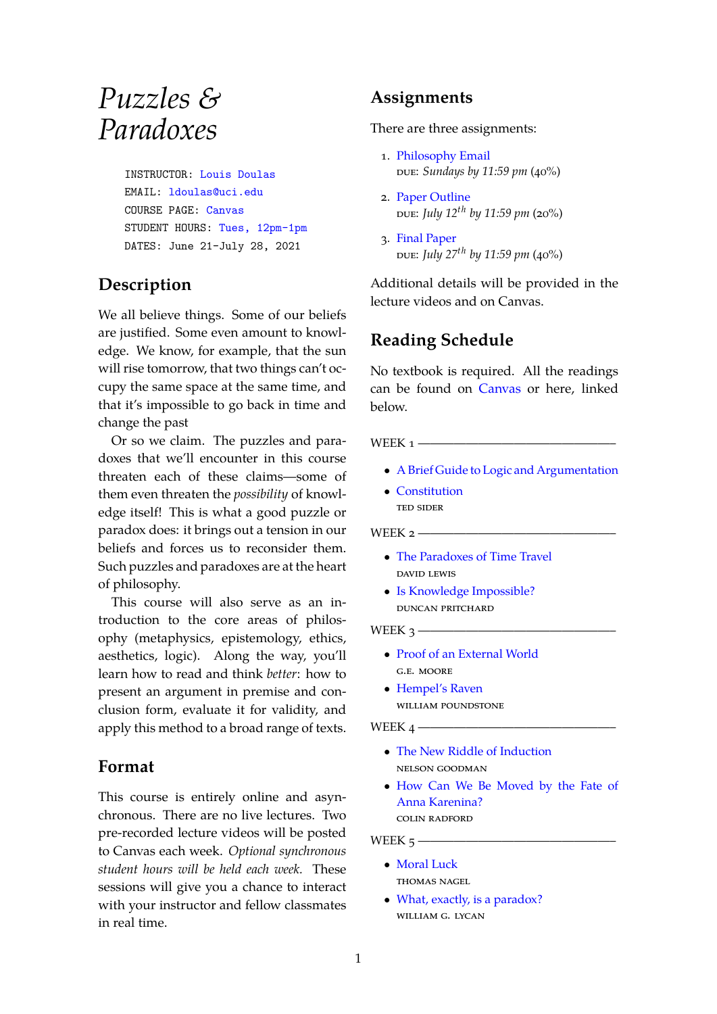# *Puzzles & Paradoxes*

INSTRUCTOR: Louis [Doulas](http://louisdoulas.info/) EMAIL: [ldoulas@uci.edu](mailto:ldoulas@uci.edu) COURSE PAGE: [Canvas](https://canvas.eee.uci.edu/courses/37990) STUDENT HOURS: Tues, [12pm-1pm](https://bit.ly/3zkAj2W) DATES: June 21-July 28, 2021

## **Description**

We all believe things. Some of our beliefs are justified. Some even amount to knowledge. We know, for example, that the sun will rise tomorrow, that two things can't occupy the same space at the same time, and that it's impossible to go back in time and change the past

Or so we claim. The puzzles and paradoxes that we'll encounter in this course threaten each of these claims—some of them even threaten the *possibility* of knowledge itself! This is what a good puzzle or paradox does: it brings out a tension in our beliefs and forces us to reconsider them. Such puzzles and paradoxes are at the heart of philosophy.

This course will also serve as an introduction to the core areas of philosophy (metaphysics, epistemology, ethics, aesthetics, logic). Along the way, you'll learn how to read and think *better*: how to present an argument in premise and conclusion form, evaluate it for validity, and apply this method to a broad range of texts.

## **Format**

This course is entirely online and asynchronous. There are no live lectures. Two pre-recorded lecture videos will be posted to Canvas each week. *Optional synchronous student hours will be held each week.* These sessions will give you a chance to interact with your instructor and fellow classmates in real time.

## **Assignments**

There are three assignments:

- 1. [Philosophy](https://canvas.eee.uci.edu/courses/37990/assignments/772657) Email due: *Sundays by 11:59 pm* (40%)
- 2. Paper [Outline](https://canvas.eee.uci.edu/courses/37990/assignments/772654) due: *July 12th by 11:59 pm* (20%)
- 3. Final [Paper](https://canvas.eee.uci.edu/courses/37990/assignments/772655) due: *July 27th by 11:59 pm* (40%)

Additional details will be provided in the lecture videos and on Canvas.

# **Reading Schedule**

No textbook is required. All the readings can be found on [Canvas](https://canvas.eee.uci.edu/courses/37990/files) or here, linked below.

WEEK  $1$  —

- *•* A Brief Guide to Logic and [Argumentation](https://bit.ly/3gdAtSu)
- *•* [Constitution](https://bit.ly/2TVmzvw) ted sider

WEEK  $2$  ——

- *•* The [Paradoxes](https://bit.ly/357vtIx) of Time Travel david lewis
- *•* Is Knowledge [Impossible?](https://bit.ly/3vcdtaG) duncan pritchard

WEEK  $3 -$ 

- *•* Proof of an [External](https://bit.ly/3iAQ4gi) World g.e. moore
- *•* [Hempel's](https://bit.ly/3vanqW5) Raven william poundstone

WEEK  $4-$ 

- *•* The New Riddle of [Induction](https://bit.ly/2TXCQ35) nelson goodman
- *•* [How](https://bit.ly/358tfZy) Can We Be Moved by the Fate of Anna Karenina? colin radford

WEEK  $5$  ——

- *•* [Moral](https://bit.ly/3zh5GeK) Luck thomas nagel
- What, exactly, is a [paradox?](https://bit.ly/3zffdmF) william g. lycan